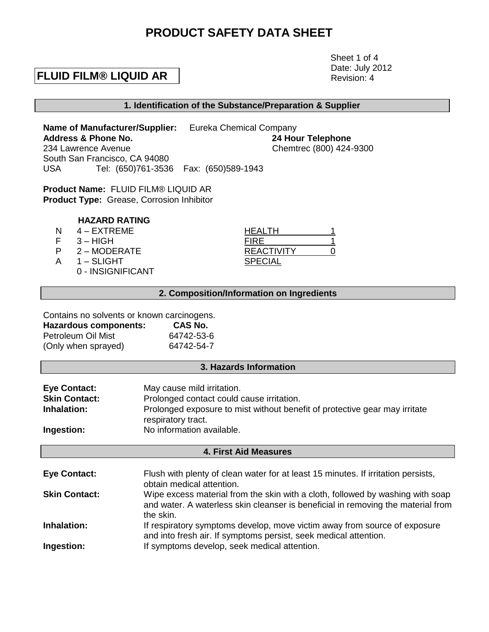# **PRODUCT SAFETY DATA SHEET**

## **FLUID FILM® LIQUID AR**

 Sheet 1 of 4 Date: July 2012 Revision: 4

## **1. Identification of the Substance/Preparation & Supplier**

**Name of Manufacturer/Supplier:** Eureka Chemical Company **Address & Phone No. 24 Hour Telephone** 234 Lawrence Avenue Chemtrec (800) 424-9300 South San Francisco, CA 94080 USA Tel: (650)761-3536 Fax: (650)589-1943

**Product Name:** FLUID FILM® LIQUID AR **Product Type:** Grease, Corrosion Inhibitor

## **HAZARD RATING**

- 
- $F = 3 HIGH$
- N 4 EXTREME<br>
F 3 HIGH<br>
P 2 MODERATE<br>
A 1 SLIGHT P 2 – MODERATE
- $A = 1 SLIGHT$ 
	- 0 INSIGNIFICANT

| <b>IEALTH</b> |  |
|---------------|--|
| FIRE          |  |
| REACTIVITY    |  |
| SPECIAL       |  |

## **2. Composition/Information on Ingredients**

#### Contains no solvents or known carcinogens.<br>Hereuse components: CAS No. **Hazardous components: CAS No.**

| <u>FIALAIUUUS UUIIIPUIIEIILS.</u> | UAJ NU.    |
|-----------------------------------|------------|
| Petroleum Oil Mist                | 64742-53-6 |
| (Only when sprayed)               | 64742-54-7 |

### **3. Hazards Information**

| <b>Eye Contact:</b>  | May cause mild irritation.                                                                       |
|----------------------|--------------------------------------------------------------------------------------------------|
| <b>Skin Contact:</b> | Prolonged contact could cause irritation.                                                        |
| Inhalation:          | Prolonged exposure to mist without benefit of protective gear may irritate<br>respiratory tract. |
|                      |                                                                                                  |
| Ingestion:           | No information available.                                                                        |

## **4. First Aid Measures**

| <b>Eye Contact:</b>  | Flush with plenty of clean water for at least 15 minutes. If irritation persists,<br>obtain medical attention.                                                                  |
|----------------------|---------------------------------------------------------------------------------------------------------------------------------------------------------------------------------|
| <b>Skin Contact:</b> | Wipe excess material from the skin with a cloth, followed by washing with soap<br>and water. A waterless skin cleanser is beneficial in removing the material from<br>the skin. |
| Inhalation:          | If respiratory symptoms develop, move victim away from source of exposure<br>and into fresh air. If symptoms persist, seek medical attention.                                   |
| Ingestion:           | If symptoms develop, seek medical attention.                                                                                                                                    |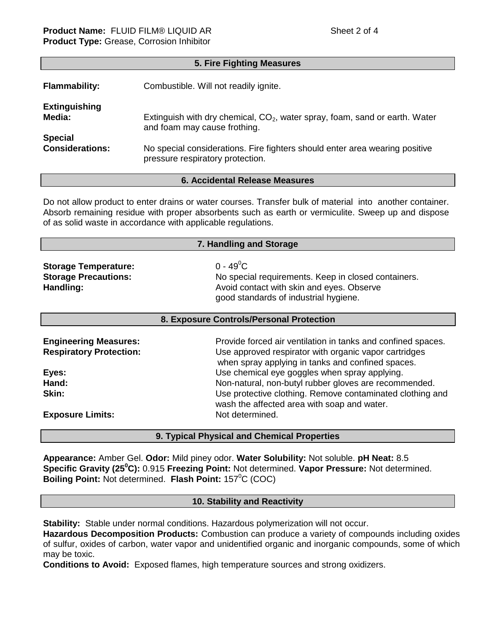| 5. Fire Fighting Measures |                                                                               |  |
|---------------------------|-------------------------------------------------------------------------------|--|
| <b>Flammability:</b>      | Combustible. Will not readily ignite.                                         |  |
| <b>Extinguishing</b>      | Extinguish with dry chemical, $CO2$ , water spray, foam, sand or earth. Water |  |
| Media:                    | and foam may cause frothing.                                                  |  |
| <b>Special</b>            | No special considerations. Fire fighters should enter area wearing positive   |  |
| <b>Considerations:</b>    | pressure respiratory protection.                                              |  |

## **6. Accidental Release Measures**

Do not allow product to enter drains or water courses. Transfer bulk of material into another container. Absorb remaining residue with proper absorbents such as earth or vermiculite. Sweep up and dispose of as solid waste in accordance with applicable regulations.

**7. Handling and Storage**

| $\ldots$                                                                |                                                                                                                                                                 |  |
|-------------------------------------------------------------------------|-----------------------------------------------------------------------------------------------------------------------------------------------------------------|--|
| <b>Storage Temperature:</b><br><b>Storage Precautions:</b><br>Handling: | $0 - 49^{\circ}$ C<br>No special requirements. Keep in closed containers.<br>Avoid contact with skin and eyes. Observe<br>good standards of industrial hygiene. |  |
|                                                                         |                                                                                                                                                                 |  |

#### **8. Exposure Controls/Personal Protection**

| <b>Engineering Measures:</b><br><b>Respiratory Protection:</b> | Provide forced air ventilation in tanks and confined spaces.<br>Use approved respirator with organic vapor cartridges<br>when spray applying in tanks and confined spaces. |
|----------------------------------------------------------------|----------------------------------------------------------------------------------------------------------------------------------------------------------------------------|
| Eyes:<br>Hand:                                                 | Use chemical eye goggles when spray applying.<br>Non-natural, non-butyl rubber gloves are recommended.                                                                     |
| Skin:<br><b>Exposure Limits:</b>                               | Use protective clothing. Remove contaminated clothing and<br>wash the affected area with soap and water.<br>Not determined.                                                |

### **9. Typical Physical and Chemical Properties**

**Appearance:** Amber Gel. **Odor:** Mild piney odor. **Water Solubility:** Not soluble. **pH Neat:** 8.5 **Specific Gravity (25<sup>0</sup>C):** 0.915 **Freezing Point:** Not determined. **Vapor Pressure:** Not determined. **Boiling Point:** Not determined. **Flash Point:** 157<sup>°</sup>C (COC)

### **10. Stability and Reactivity**

**Stability:** Stable under normal conditions. Hazardous polymerization will not occur.

**Hazardous Decomposition Products:** Combustion can produce a variety of compounds including oxides of sulfur, oxides of carbon, water vapor and unidentified organic and inorganic compounds, some of which may be toxic.

**Conditions to Avoid:** Exposed flames, high temperature sources and strong oxidizers.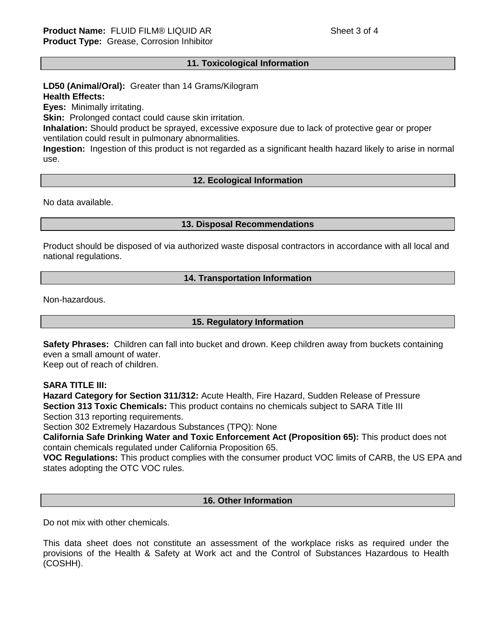## **11. Toxicological Information**

## **LD50 (Animal/Oral):** Greater than 14 Grams/Kilogram **Health Effects:**

**Eyes:** Minimally irritating.

**Skin:** Prolonged contact could cause skin irritation.

**Inhalation:** Should product be sprayed, excessive exposure due to lack of protective gear or proper ventilation could result in pulmonary abnormalities.

**Ingestion:** Ingestion of this product is not regarded as a significant health hazard likely to arise in normal use.

## **12. Ecological Information**

No data available.

### **13. Disposal Recommendations**

Product should be disposed of via authorized waste disposal contractors in accordance with all local and national regulations.

### **14. Transportation Information**

Non-hazardous.

### **15. Regulatory Information**

**Safety Phrases:** Children can fall into bucket and drown. Keep children away from buckets containing even a small amount of water. Keep out of reach of children.

## **SARA TITLE III:**

**Hazard Category for Section 311/312:** Acute Health, Fire Hazard, Sudden Release of Pressure **Section 313 Toxic Chemicals:** This product contains no chemicals subject to SARA Title III Section 313 reporting requirements.

Section 302 Extremely Hazardous Substances (TPQ): None

**California Safe Drinking Water and Toxic Enforcement Act (Proposition 65):** This product does not contain chemicals regulated under California Proposition 65.

**VOC Regulations:** This product complies with the consumer product VOC limits of CARB, the US EPA and states adopting the OTC VOC rules.

## **16. Other Information**

Do not mix with other chemicals.

This data sheet does not constitute an assessment of the workplace risks as required under the provisions of the Health & Safety at Work act and the Control of Substances Hazardous to Health (COSHH).